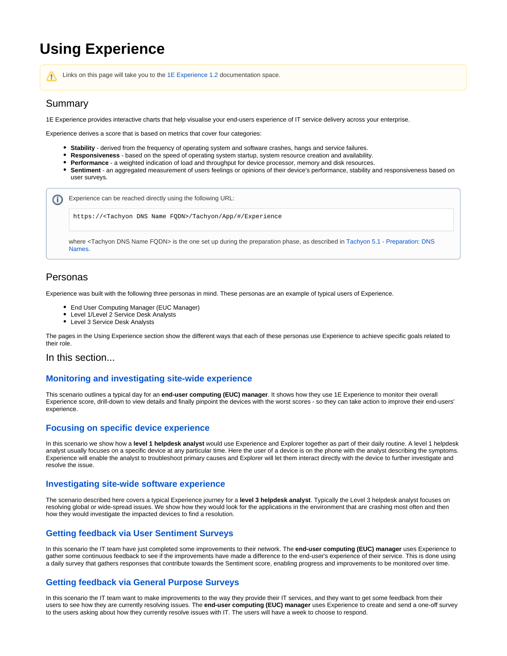# **Using Experience**

Links on this page will take you to the [1E Experience 1.2](https://help.1e.com/display/EXP12/Welcome) documentation space. Λ

# Summary

1E Experience provides interactive charts that help visualise your end-users experience of IT service delivery across your enterprise.

Experience derives a score that is based on metrics that cover four categories:

- **Stability** derived from the frequency of operating system and software crashes, hangs and service failures.
- **Responsiveness** based on the speed of operating system startup, system resource creation and availability.
- **Performance** a weighted indication of load and throughput for device processor, memory and disk resources.
- **Sentiment** an aggregated measurement of users feelings or opinions of their device's performance, stability and responsiveness based on user surveys.

| https:// <tachyon dns="" fqdn="" name="">/Tachyon/App/#/Experience</tachyon>                                                                               |  |
|------------------------------------------------------------------------------------------------------------------------------------------------------------|--|
|                                                                                                                                                            |  |
| where <tachyon dns="" fqdn="" name=""> is the one set up during the preparation phase, as described in Tachyon 5.1 - Preparation: DNS<br/>Names.</tachyon> |  |

# Personas

Experience was built with the following three personas in mind. These personas are an example of typical users of Experience.

- End User Computing Manager (EUC Manager)
- Level 1/Level 2 Service Desk Analysts
- Level 3 Service Desk Analysts

The pages in the Using Experience section show the different ways that each of these personas use Experience to achieve specific goals related to their role.

## In this section...

## **[Monitoring and investigating site-wide experience](https://help.1e.com/display/EXP12/Monitoring+and+investigating+site-wide+experience)**

This scenario outlines a typical day for an **end-user computing (EUC) manager**. It shows how they use 1E Experience to monitor their overall Experience score, drill-down to view details and finally pinpoint the devices with the worst scores - so they can take action to improve their end-users' experience.

## **[Focusing on specific device experience](https://help.1e.com/display/EXP12/Focusing+on+specific+device+experience)**

In this scenario we show how a **level 1 helpdesk analyst** would use Experience and Explorer together as part of their daily routine. A level 1 helpdesk analyst usually focuses on a specific device at any particular time. Here the user of a device is on the phone with the analyst describing the symptoms. Experience will enable the analyst to troubleshoot primary causes and Explorer will let them interact directly with the device to further investigate and resolve the issue.

#### **[Investigating site-wide software experience](https://help.1e.com/display/EXP12/Investigating+site-wide+software+experience)**

The scenario described here covers a typical Experience journey for a **level 3 helpdesk analyst**. Typically the Level 3 helpdesk analyst focuses on resolving global or wide-spread issues. We show how they would look for the applications in the environment that are crashing most often and then how they would investigate the impacted devices to find a resolution.

## **[Getting feedback via User Sentiment Surveys](https://help.1e.com/display/EXP12/Getting+feedback+via+User+Sentiment+Surveys)**

In this scenario the IT team have just completed some improvements to their network. The **end-user computing (EUC) manager** uses Experience to gather some continuous feedback to see if the improvements have made a difference to the end-user's experience of their service. This is done using a daily survey that gathers responses that contribute towards the Sentiment score, enabling progress and improvements to be monitored over time.

## **[Getting feedback via General Purpose Surveys](https://help.1e.com/display/EXP12/Getting+feedback+via+General+Purpose+Surveys)**

In this scenario the IT team want to make improvements to the way they provide their IT services, and they want to get some feedback from their users to see how they are currently resolving issues. The **end-user computing (EUC) manager** uses Experience to create and send a one-off survey to the users asking about how they currently resolve issues with IT. The users will have a week to choose to respond.